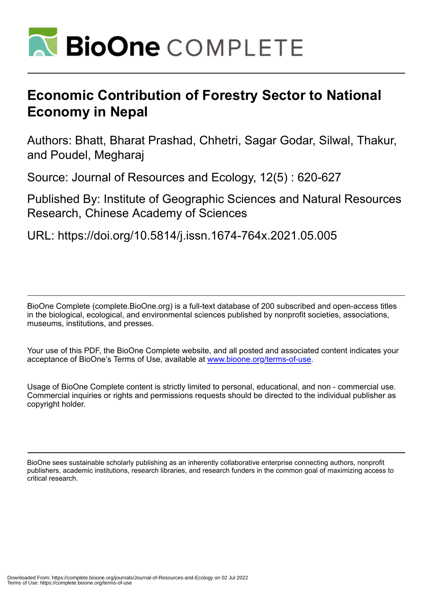

# **Economic Contribution of Forestry Sector to National Economy in Nepal**

Authors: Bhatt, Bharat Prashad, Chhetri, Sagar Godar, Silwal, Thakur, and Poudel, Megharaj

Source: Journal of Resources and Ecology, 12(5) : 620-627

Published By: Institute of Geographic Sciences and Natural Resources Research, Chinese Academy of Sciences

URL: https://doi.org/10.5814/j.issn.1674-764x.2021.05.005

BioOne Complete (complete.BioOne.org) is a full-text database of 200 subscribed and open-access titles in the biological, ecological, and environmental sciences published by nonprofit societies, associations, museums, institutions, and presses.

Your use of this PDF, the BioOne Complete website, and all posted and associated content indicates your acceptance of BioOne's Terms of Use, available at www.bioone.org/terms-of-use.

Usage of BioOne Complete content is strictly limited to personal, educational, and non - commercial use. Commercial inquiries or rights and permissions requests should be directed to the individual publisher as copyright holder.

BioOne sees sustainable scholarly publishing as an inherently collaborative enterprise connecting authors, nonprofit publishers, academic institutions, research libraries, and research funders in the common goal of maximizing access to critical research.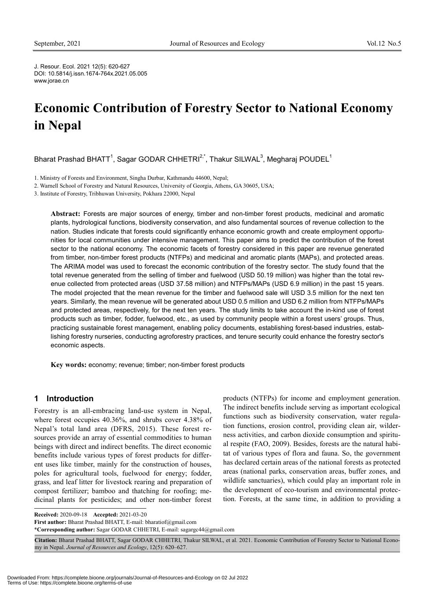J. Resour. Ecol. 2021 12(5): 620-627 DOI: 10.5814/j.issn.1674-764x.2021.05.005 www.jorae.cn

# **Economic Contribution of Forestry Sector to National Economy in Nepal**

Bharat Prashad BHATT $^1$ , Sagar GODAR CHHETRI $^{2, \star}$ , Thakur SILWAL $^3$ , Megharaj POUDEL $^1$ 

1. Ministry of Forests and Environment, Singha Durbar, Kathmandu 44600, Nepal;

2. Warnell School of Forestry and Natural Resources, University of Georgia, Athens, GA 30605, USA;

3. Institute of Forestry, Tribhuwan University, Pokhara 22000, Nepal

**Abstract:** Forests are major sources of energy, timber and non-timber forest products, medicinal and aromatic plants, hydrological functions, biodiversity conservation, and also fundamental sources of revenue collection to the nation. Studies indicate that forests could significantly enhance economic growth and create employment opportunities for local communities under intensive management. This paper aims to predict the contribution of the forest sector to the national economy. The economic facets of forestry considered in this paper are revenue generated from timber, non-timber forest products (NTFPs) and medicinal and aromatic plants (MAPs), and protected areas. The ARIMA model was used to forecast the economic contribution of the forestry sector. The study found that the total revenue generated from the selling of timber and fuelwood (USD 50.19 million) was higher than the total revenue collected from protected areas (USD 37.58 million) and NTFPs/MAPs (USD 6.9 million) in the past 15 years. The model projected that the mean revenue for the timber and fuelwood sale will USD 3.5 million for the next ten years. Similarly, the mean revenue will be generated about USD 0.5 million and USD 6.2 million from NTFPs/MAPs and protected areas, respectively, for the next ten years. The study limits to take account the in-kind use of forest products such as timber, fodder, fuelwood, etc., as used by community people within a forest users' groups. Thus, practicing sustainable forest management, enabling policy documents, establishing forest-based industries, establishing forestry nurseries, conducting agroforestry practices, and tenure security could enhance the forestry sector's economic aspects.

**Key words:** economy; revenue; timber; non-timber forest products

# **1 Introduction**

Forestry is an all-embracing land-use system in Nepal, where forest occupies 40.36%, and shrubs cover 4.38% of Nepal's total land area (DFRS, 2015). These forest resources provide an array of essential commodities to human beings with direct and indirect benefits. The direct economic benefits include various types of forest products for different uses like timber, mainly for the construction of houses, poles for agricultural tools, fuelwood for energy; fodder, grass, and leaf litter for livestock rearing and preparation of compost fertilizer; bamboo and thatching for roofing; medicinal plants for pesticides; and other non-timber forest

products (NTFPs) for income and employment generation. The indirect benefits include serving as important ecological functions such as biodiversity conservation, water regulation functions, erosion control, providing clean air, wilderness activities, and carbon dioxide consumption and spiritual respite (FAO, 2009). Besides, forests are the natural habitat of various types of flora and fauna. So, the government has declared certain areas of the national forests as protected areas (national parks, conservation areas, buffer zones, and wildlife sanctuaries), which could play an important role in the development of eco-tourism and environmental protection. Forests, at the same time, in addition to providing a

**Received:** 2020-09-18 **Accepted:** 2021-03-20

**First author:** Bharat Prashad BHATT, E-mail: bharatiof@gmail.com

\***Corresponding author:** Sagar GODAR CHHETRI, E-mail: sagargc44@gmail.com

**Citation:** Bharat Prashad BHATT, Sagar GODAR CHHETRI, Thakur SILWAL, et al. 2021. Economic Contribution of Forestry Sector to National Economy in Nepal. *Journal of Resources and Ecology*, 12(5): 620–627.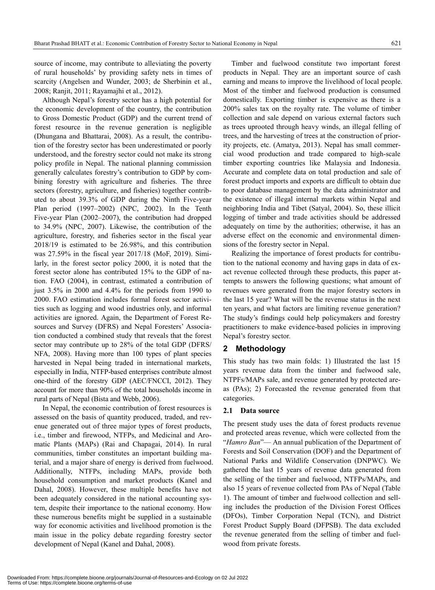source of income, may contribute to alleviating the poverty of rural households' by providing safety nets in times of scarcity (Angelsen and Wunder, 2003; de Sherbinin et al., 2008; Ranjit, 2011; Rayamajhi et al.[, 2012\)](http://login.research4life.org/tacsgr1www_tandfonline_com/doi/full/10.1080/14728028.2013.785783).

Although Nepal's forestry sector has a high potential for the economic development of the country, the contribution to Gross Domestic Product (GDP) and the current trend of forest resource in the revenue generation is negligible (Dhungana and Bhattarai, 2008). As a result, the contribution of the forestry sector has been underestimated or poorly understood, and the forestry sector could not make its strong policy profile in Nepal. The national planning commission generally calculates forestry's contribution to GDP by combining forestry with agriculture and fisheries. The three sectors (forestry, agriculture, and fisheries) together contributed to about 39.3% of GDP during the Ninth Five-year Plan period (1997–2002) (NPC, 2002). In the Tenth Five-year Plan (2002–2007), the contribution had dropped to 34.9% (NPC, 2007). Likewise, the contribution of the agriculture, forestry, and fisheries sector in the fiscal year 2018/19 is estimated to be 26.98%, and this contribution was 27.59% in the fiscal year 2017/18 (MoF, 2019). Similarly, in the forest sector policy 2000, it is noted that the forest sector alone has contributed 15% to the GDP of nation. FAO (2004), in contrast, estimated a contribution of just 3.5% in 2000 and 4.4% for the periods from 1990 to 2000. FAO estimation includes formal forest sector activities such as logging and wood industries only, and informal activities are ignored. Again, the Department of Forest Resources and Survey (DFRS) and Nepal Foresters' Association conducted a combined study that reveals that the forest sector may contribute up to 28% of the total GDP (DFRS/ NFA, 2008). Having more than 100 types of plant species harvested in Nepal being traded in international markets, especially in India, NTFP-based enterprises contribute almost one-third of the forestry GDP [\(AEC/FNCCI, 2012\)](http://login.research4life.org/tacsgr1bioone_org/journals/International-Forestry-Review/volume-19/issue-1/146554817820888582/Forest-Based-Micro-and-Small-Enterprises-in-Nepal--Review/10.1505/146554817820888582.full%23bibr04). They account for more than 90% of the total households income in rural parts of Nepal [\(Bista and Webb, 2006\)](http://login.research4life.org/tacsgr1bioone_org/journals/International-Forestry-Review/volume-19/issue-1/146554817820888582/Forest-Based-Micro-and-Small-Enterprises-in-Nepal--Review/10.1505/146554817820888582.full%23bibr10).

In Nepal, the economic contribution of forest resources is assessed on the basis of quantity produced, traded, and revenue generated out of three major types of forest products, i.e., timber and firewood, NTFPs, and Medicinal and Aromatic Plants (MAPs) (Rai and Chapagai, 2014). In rural communities, timber constitutes an important building material, and a major share of energy is derived from fuelwood. Additionally, NTFPs, including MAPs, provide both household consumption and market products (Kanel and Dahal, 2008). However, these multiple benefits have not been adequately considered in the national accounting system, despite their importance to the national economy. How these numerous benefits might be supplied in a sustainable way for economic activities and livelihood promotion is the main issue in the policy debate regarding forestry sector development of Nepal (Kanel and Dahal, 2008).

Timber and fuelwood constitute two important forest products in Nepal. They are an important source of cash earning and means to improve the livelihood of local people. Most of the timber and fuelwood production is consumed domestically. Exporting timber is expensive as there is a 200% sales tax on the royalty rate. The volume of timber collection and sale depend on various external factors such as trees uprooted through heavy winds, an illegal felling of trees, and the harvesting of trees at the construction of priority projects, etc. (Amatya, 2013). Nepal has small commercial wood production and trade compared to high-scale timber exporting countries like Malaysia and Indonesia. Accurate and complete data on total production and sale of forest product imports and exports are difficult to obtain due to poor database management by the data administrator and the existence of illegal internal markets within Nepal and neighboring India and Tibet (Satyal, 2004). So, these illicit logging of timber and trade activities should be addressed adequately on time by the authorities; otherwise, it has an adverse effect on the economic and environmental dimensions of the forestry sector in Nepal.

Realizing the importance of forest products for contribution to the national economy and having gaps in data of exact revenue collected through these products, this paper attempts to answers the following questions; what amount of revenues were generated from the major forestry sectors in the last 15 year? What will be the revenue status in the next ten years, and what factors are limiting revenue generation? The study's findings could help policymakers and forestry practitioners to make evidence-based policies in improving Nepal's forestry sector.

# **2 Methodology**

This study has two main folds: 1) Illustrated the last 15 years revenue data from the timber and fuelwood sale, NTPFs/MAPs sale, and revenue generated by protected areas (PAs); 2) Forecasted the revenue generated from that categories.

#### **2.1 Data source**

The present study uses the data of forest products revenue and protected areas revenue, which were collected from the "*Hamro Ban*"— An annual publication of the Department of Forests and Soil Conservation (DOF) and the Department of National Parks and Wildlife Conservation (DNPWC). We gathered the last 15 years of revenue data generated from the selling of the timber and fuelwood, NTFPs/MAPs, and also 15 years of revenue collected from PAs of Nepal (Table 1). The amount of timber and fuelwood collection and selling includes the production of the Division Forest Offices (DFOs), Timber Corporation Nepal (TCN), and District Forest Product Supply Board (DFPSB). The data excluded the revenue generated from the selling of timber and fuelwood from private forests.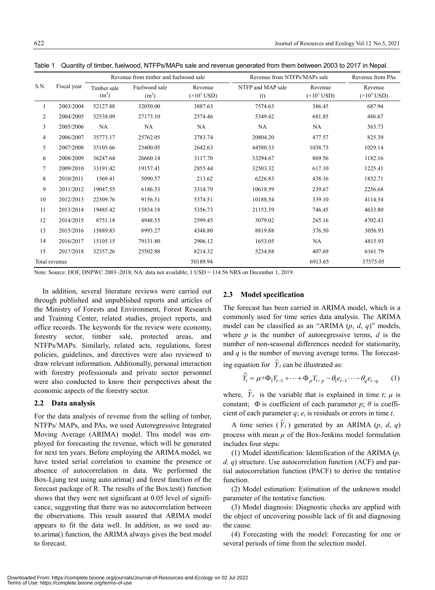Revenue  $(\times 10^3$  USD)

Revenue  $(\times 10^3$  USD)

| 5  | 2007/2008 | 35105.66 | 23400.05 | 2642.63 | 44580.33 | 1038.73 | 1029.14 |
|----|-----------|----------|----------|---------|----------|---------|---------|
| 6  | 2008/2009 | 36247.64 | 26660.14 | 3117.70 | 33294.67 | 869.56  | 1182.16 |
| 7  | 2009/2010 | 33191.42 | 19157.41 | 2855.44 | 32503.32 | 617.10  | 1225.41 |
| 8  | 2010/2011 | 1569.41  | 5090.57  | 213.62  | 6226.83  | 438.16  | 1832.71 |
| 9  | 2011/2012 | 19047.55 | 6186.33  | 3314.79 | 10618.59 | 239.67  | 2256.68 |
| 10 | 2012/2013 | 22309.76 | 9156.51  | 5374.51 | 10188.54 | 339.10  | 4114.34 |
| 11 | 2013/2014 | 19485.42 | 15834.18 | 5356.73 | 21153.39 | 746.45  | 4633.80 |
| 12 | 2014/2015 | 8751.18  | 4948.55  | 2599.45 | 3079.02  | 265.16  | 4702.43 |
| 13 | 2015/2016 | 15889.83 | 8993.27  | 4348.80 | 8819.88  | 376.50  | 3056.93 |
| 14 | 2016/2017 | 15105.15 | 79131.80 | 2906.12 | 1653.05  | NA.     | 4815.93 |
| 15 | 2017/2018 | 32357.26 | 25502.88 | 8214.32 | 5234.88  | 407.69  | 6161.79 |

Fuelwood sale  $(m<sup>3</sup>)$ 

Table 1 Quantity of timber, fuelwood, NTFPs/MAPs sale and revenue generated from them between 2003 to 2017 in Nepal.

 2003/2004 52127.88 32050.00 3887.63 7574.63 386.45 687.94 2004/2005 32538.09 27173.10 2574.46 5349.42 681.85 486.67 2005/2006 NA NA NA NA NA 563.73 2006/2007 35773.17 25762.05 2783.74 20804.20 477.57 825.39

Total revenue 30189.94 6913.65 37575.05 37575.05

Revenue  $(\times 10^3$  USD)

Revenue from timber and fuelwood sale Revenue from NTFPs/MAPs sale Revenue from PAs

NTFP and MAP sale (t)

Note: Source: DOF, DNPWC 2003–2018; NA: data not available; 1 USD = 114.56 NRS on December 1, 2019.

In addition, several literature reviews were carried out through published and unpublished reports and articles of the Ministry of Forests and Environment, Forest Research and Training Center, related studies, project reports, and office records. The keywords for the review were economy, forestry sector, timber sale, protected areas, and NTFPs/MAPs. Similarly, related acts, regulations, forest policies, guidelines, and directives were also reviewed to draw relevant information. Additionally, personal interaction with forestry professionals and private sector personnel were also conducted to know their perspectives about the economic aspects of the forestry sector.

#### **2.2 Data analysis**

For the data analysis of revenue from the selling of timber, NTFPs/ MAPs, and PAs, we used Autoregressive Integrated Moving Average (ARIMA) model. This model was employed for forecasting the revenue, which will be generated for next ten years. Before employing the ARIMA model, we have tested serial correlation to examine the presence or absence of autocorrelation in data. We performed the Box-Ljung test using auto.arima() and forest function of the forecast package of R. The results of the Box.test() function shows that they were not significant at 0.05 level of significance, suggesting that there was no autocorrelation between the observations. This result assured that ARIMA model appears to fit the data well. In addition, as we used auto.arima() function, the ARIMA always gives the best model to forecast.

## **2.3 Model specification**

The forecast has been carried in ARIMA model, which is a commonly used for time series data analysis. The ARIMA model can be classified as an "ARIMA (*p*, *d*, *q*)" models, where  $p$  is the number of autoregressive terms,  $d$  is the number of non-seasonal differences needed for stationarity, and *q* is the number of moving average terms. The forecast-

ing equation for  $\hat{Y}_t$  can be illustrated as:

$$
\widehat{Y}_t = \mu + \Phi_1 Y_{t-1} + \dots + \Phi_p Y_{t-p} - \theta_1 e_{t-1} \dots - \theta_q e_{t-q} \tag{1}
$$

where,  $\hat{Y}_t$  is the variable that is explained in time *t*;  $\mu$  is constant;  $\Phi$  is coefficient of each parameter *p*;  $\theta$  is coefficient of each parameter  $q$ ;  $e_t$  is residuals or errors in time  $t$ .

A time series  $(\hat{Y}_t)$  generated by an ARIMA  $(p, d, q)$ process with mean *µ* of the Box-Jenkins model formulation includes four steps:

(1) Model identification: Identification of the ARIMA (*p, d, q*) structure. Use autocorrelation function (ACF) and partial autocorrelation function (PACF) to derive the tentative function.

(2) Model estimation: Estimation of the unknown model parameter of the tentative function.

(3) Model diagnosis: Diagnostic checks are applied with the object of uncovering possible lack of fit and diagnosing the cause.

(4) Forecasting with the model: Forecasting for one or several periods of time from the selection model.

S.N. Fiscal year

Timber sale  $(m<sup>3</sup>)$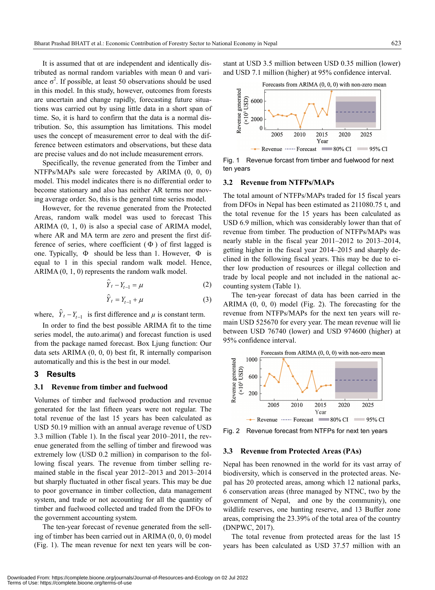It is assumed that αt are independent and identically distributed as normal random variables with mean 0 and variance  $\sigma^2$ . If possible, at least 50 observations should be used in this model. In this study, however, outcomes from forests are uncertain and change rapidly, forecasting future situations was carried out by using little data in a short span of time. So, it is hard to confirm that the data is a normal distribution. So, this assumption has limitations. This model uses the concept of measurement error to deal with the difference between estimators and observations, but these data are precise values and do not include measurement errors.

Specifically, the revenue generated from the Timber and NTFPs/MAPs sale were forecasted by ARIMA (0, 0, 0) model. This model indicates there is no differential order to become stationary and also has neither AR terms nor moving average order. So, this is the general time series model.

However, for the revenue generated from the Protected Areas, random walk model was used to forecast This ARIMA (0, 1, 0) is also a special case of ARIMA model, where AR and MA term are zero and present the first difference of series, where coefficient  $(\Phi)$  of first lagged is one. Typically,  $\Phi$  should be less than 1. However,  $\Phi$  is equal to 1 in this special random walk model. Hence, ARIMA (0, 1, 0) represents the random walk model.

$$
\widehat{Y}_t - Y_{t-1} = \mu \tag{2}
$$

$$
\hat{Y}_t = Y_{t-1} + \mu \tag{3}
$$

where,  $\hat{Y}_t - Y_{t-1}$  is first difference and  $\mu$  is constant term.

In order to find the best possible ARIMA fit to the time series model, the auto.arima() and forecast function is used from the package named forecast. Box Ljung function: Our data sets ARIMA (0, 0, 0) best fit, R internally comparison automatically and this is the best in our model.

### **3 Results**

#### **3.1 Revenue from timber and fuelwood**

Volumes of timber and fuelwood production and revenue generated for the last fifteen years were not regular. The total revenue of the last 15 years has been calculated as USD 50.19 million with an annual average revenue of USD 3.3 million (Table 1). In the fiscal year 2010–2011, the revenue generated from the selling of timber and firewood was extremely low (USD 0.2 million) in comparison to the following fiscal years. The revenue from timber selling remained stable in the fiscal year 2012–2013 and 2013–2014 but sharply fluctuated in other fiscal years. This may be due to poor governance in timber collection, data management system, and trade or not accounting for all the quantity of timber and fuelwood collected and traded from the DFOs to the government accounting system.

The ten-year forecast of revenue generated from the selling of timber has been carried out in ARIMA (0, 0, 0) model (Fig. 1). The mean revenue for next ten years will be constant at USD 3.5 million between USD 0.35 million (lower) and USD 7.1 million (higher) at 95% confidence interval.



Fig. 1 Revenue forcast from timber and fuelwood for next ten years

#### **3.2 Revenue from NTFPs/MAPs**

The total amount of NTFPs/MAPs traded for 15 fiscal years from DFOs in Nepal has been estimated as 211080.75 t, and the total revenue for the 15 years has been calculated as USD 6.9 million, which was considerably lower than that of revenue from timber. The production of NTFPs/MAPs was nearly stable in the fiscal year 2011–2012 to 2013–2014, getting higher in the fiscal year 2014–2015 and sharply declined in the following fiscal years. This may be due to either low production of resources or illegal collection and trade by local people and not included in the national accounting system (Table 1).

The ten-year forecast of data has been carried in the ARIMA (0, 0, 0) model (Fig. 2). The forecasting for the revenue from NTFPs/MAPs for the next ten years will remain USD 525670 for every year. The mean revenue will lie between USD 76740 (lower) and USD 974600 (higher) at 95% confidence interval.



Fig. 2 Revenue forecast from NTFPs for next ten years

#### **3.3 Revenue from Protected Areas (PAs)**

Nepal has been renowned in the world for its vast array of biodiversity, which is conserved in the protected areas. Nepal has 20 protected areas, among which 12 national parks, 6 conservation areas (three managed by NTNC, two by the government of Nepal, and one by the community), one wildlife reserves, one hunting reserve, and 13 Buffer zone areas, comprising the 23.39% of the total area of the country (DNPWC, 2017).

The total revenue from protected areas for the last 15 years has been calculated as USD 37.57 million with an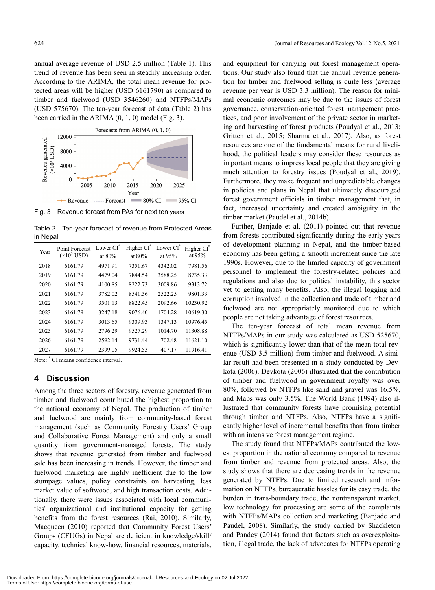annual average revenue of USD 2.5 million (Table 1). This trend of revenue has been seen in steadily increasing order. According to the ARIMA, the total mean revenue for protected areas will be higher (USD 6161790) as compared to timber and fuelwood (USD 3546260) and NTFPs/MAPs (USD 575670). The ten-year forecast of data (Table 2) has been carried in the ARIMA (0, 1, 0) model (Fig. 3).



Fig. 3 Revenue forcast from PAs for next ten years

Table 2 Ten-year forecast of revenue from Protected Areas in Nepal

| Year | Point Forecast<br>$(\times 10^3$ USD) | Lower CI <sup>*</sup><br>at $80%$ | Higher CI <sup>*</sup><br>at $80%$ | Lower CI <sup>*</sup><br>at $95%$ | Higher CI <sup>*</sup><br>at $95%$ |
|------|---------------------------------------|-----------------------------------|------------------------------------|-----------------------------------|------------------------------------|
| 2018 | 6161.79                               | 4971.91                           | 7351.67                            | 4342.02                           | 7981.56                            |
| 2019 | 6161.79                               | 4479.04                           | 7844.54                            | 3588.25                           | 8735.33                            |
| 2020 | 6161.79                               | 4100.85                           | 8222.73                            | 3009.86                           | 9313.72                            |
| 2021 | 6161.79                               | 3782.02                           | 8541.56                            | 2522.25                           | 9801.33                            |
| 2022 | 6161.79                               | 3501.13                           | 8822.45                            | 2092.66                           | 10230.92                           |
| 2023 | 6161.79                               | 3247.18                           | 9076.40                            | 1704.28                           | 10619.30                           |
| 2024 | 6161.79                               | 3013.65                           | 9309.93                            | 1347.13                           | 10976.45                           |
| 2025 | 6161.79                               | 2796.29                           | 9527.29                            | 1014.70                           | 11308.88                           |
| 2026 | 6161.79                               | 2592.14                           | 9731.44                            | 702.48                            | 11621.10                           |
| 2027 | 6161.79                               | 2399.05                           | 9924.53                            | 407.17                            | 11916.41                           |

Note: \* CI means confidence interval.

## **4 Discussion**

Among the three sectors of forestry, revenue generated from timber and fuelwood contributed the highest proportion to the national economy of Nepal. The production of timber and fuelwood are mainly from community-based forest management (such as Community Forestry Users' Group and Collaborative Forest Management) and only a small quantity from government-managed forests. The study shows that revenue generated from timber and fuelwood sale has been increasing in trends. However, the timber and fuelwood marketing are highly inefficient due to the low stumpage values, policy constraints on harvesting, less market value of softwood, and high transaction costs. Additionally, there were issues associated with local communities' organizational and institutional capacity for getting benefits from the forest resources (Rai, 2010). Similarly, Macqueen (2010) reported that Community Forest Users' Groups (CFUGs) in Nepal are deficient in knowledge/skill/ capacity, technical know-how, financial resources, materials,

and equipment for carrying out forest management operations. Our study also found that the annual revenue generation for timber and fuelwood selling is quite less (average revenue per year is USD 3.3 million). The reason for minimal economic outcomes may be due to the issues of forest governance, conservation-oriented forest management practices, and poor involvement of the private sector in marketing and harvesting of forest products (Poudyal et al., 2013; Gritten et al., 2015; Sharma et al., 2017). Also, as forest resources are one of the fundamental means for rural livelihood, the political leaders may consider these resources as important means to impress local people that they are giving much attention to forestry issues (Poudyal et al., 2019). Furthermore, they make frequent and unpredictable changes in policies and plans in Nepal that ultimately discouraged forest government officials in timber management that, in fact, increased uncertainty and created ambiguity in the timber market (Paudel et al., 2014b).

Further, Banjade et al. (2011) pointed out that revenue from forests contributed significantly during the early years of development planning in Nepal, and the timber-based economy has been getting a smooth increment since the late 1990s. However, due to the limited capacity of government personnel to implement the forestry-related policies and regulations and also due to political instability, this sector yet to getting many benefits. Also, the illegal logging and corruption involved in the collection and trade of timber and fuelwood are not appropriately monitored due to which people are not taking advantage of forest resources.

The ten-year forecast of total mean revenue from NTFPs/MAPs in our study was calculated as USD 525670, which is significantly lower than that of the mean total revenue (USD 3.5 million) from timber and fuelwood. A similar result had been presented in a study conducted by Devkota (2006). Devkota (2006) illustrated that the contribution of timber and fuelwood in government royalty was over 80%, followed by NTFPs like sand and gravel was 16.5%, and Maps was only 3.5%. The World Bank (1994) also illustrated that community forests have promising potential through timber and NTFPs. Also, NTFPs have a significantly higher level of incremental benefits than from timber with an intensive forest management regime.

The study found that NTFPs/MAPs contributed the lowest proportion in the national economy compared to revenue from timber and revenue from protected areas. Also, the study shows that there are decreasing trends in the revenue generated by NTFPs. Due to limited research and information on NTFPs, bureaucratic hassles for its easy trade, the burden in trans-boundary trade, the nontransparent market, low technology for processing are some of the complaints with NTFPs/MAPs collection and marketing (Banjade and Paudel, 2008). Similarly, the study carried by Shackleton and Pandey (2014) found that factors such as overexploitation, illegal trade, the lack of advocates for NTFPs operating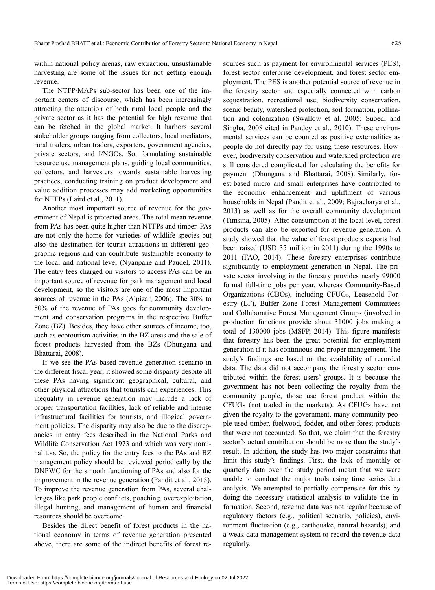within national policy arenas, raw extraction, unsustainable harvesting are some of the issues for not getting enough revenue.

The NTFP/MAPs sub-sector has been one of the important centers of discourse, which has been increasingly attracting the attention of both rural local people and the private sector as it has the potential for high revenue that can be fetched in the global market. It harbors several stakeholder groups ranging from collectors, local mediators, rural traders, urban traders, exporters, government agencies, private sectors, and I/NGOs. So, formulating sustainable resource use management plans, guiding local communities, collectors, and harvesters towards sustainable harvesting practices, conducting training on product development and value addition processes may add marketing opportunities for NTFPs (Laird et al., 2011).

Another most important source of revenue for the government of Nepal is protected areas. The total mean revenue from PAs has been quite higher than NTFPs and timber. PAs are not only the home for varieties of wildlife species but also the destination for tourist attractions in different geographic regions and can contribute sustainable economy to the local and national level (Nyaupane and Paudel, 2011). The entry fees charged on visitors to access PAs can be an important source of revenue for park management and local development, so the visitors are one of the most important sources of revenue in the PAs (Alpízar, 2006). The 30% to 50% of the revenue of PAs goes for community development and conservation programs in the respective Buffer Zone (BZ). Besides, they have other sources of income, too, such as ecotourism activities in the BZ areas and the sale of forest products harvested from the BZs (Dhungana and Bhattarai, 2008).

If we see the PAs based revenue generation scenario in the different fiscal year, it showed some disparity despite all these PAs having significant geographical, cultural, and other physical attractions that tourists can experiences. This inequality in revenue generation may include a lack of proper transportation facilities, lack of reliable and intense infrastructural facilities for tourists, and illogical government policies. The disparity may also be due to the discrepancies in entry fees described in the National Parks and Wildlife Conservation Act 1973 and which was very nominal too. So, the policy for the entry fees to the PAs and BZ management policy should be reviewed periodically by the DNPWC for the smooth functioning of PAs and also for the improvement in the revenue generation (Pandit et al., 2015). To improve the revenue generation from PAs, several challenges like park people conflicts, poaching, overexploitation, illegal hunting, and management of human and financial resources should be overcome.

Besides the direct benefit of forest products in the national economy in terms of revenue generation presented above, there are some of the indirect benefits of forest resources such as payment for environmental services (PES), forest sector enterprise development, and forest sector employment. The PES is another potential source of revenue in the forestry sector and especially connected with carbon sequestration, recreational use, biodiversity conservation, scenic beauty, watershed protection, soil formation, pollination and colonization (Swallow et al. 2005; Subedi and Singha, 2008 cited in Pandey et al., 2010). These environmental services can be counted as positive externalities as people do not directly pay for using these resources. However, biodiversity conservation and watershed protection are still considered complicated for calculating the benefits for payment (Dhungana and Bhattarai, 2008). Similarly, forest-based micro and small enterprises have contributed to the economic enhancement and upliftment of various households in Nepal (Pandit et al., 2009; Bajracharya et al., 2013) as well as for the overall community development (Timsina, 2005). After consumption at the local level, forest products can also be exported for revenue generation. A study showed that the value of forest products exports had been raised (USD 35 million in 2011) during the 1990s to 2011 (FAO, 2014). These forestry enterprises contribute significantly to employment generation in Nepal. The private sector involving in the forestry provides nearly 99000 formal full-time jobs per year, whereas Community-Based Organizations (CBOs), including CFUGs, Leasehold Forestry (LF), Buffer Zone Forest Management Committees and Collaborative Forest Management Groups (involved in production functions provide about 31000 jobs making a total of 130000 jobs (MSFP, 2014). This figure manifests that forestry has been the great potential for employment generation if it has continuous and proper management. The study's findings are based on the availability of recorded data. The data did not accompany the forestry sector contributed within the forest users' groups. It is because the government has not been collecting the royalty from the community people, those use forest product within the CFUGs (not traded in the markets). As CFUGs have not given the royalty to the government, many community people used timber, fuelwood, fodder, and other forest products that were not accounted. So that, we claim that the forestry sector's actual contribution should be more than the study's result. In addition, the study has two major constraints that limit this study's findings. First, the lack of monthly or quarterly data over the study period meant that we were unable to conduct the major tools using time series data analysis. We attempted to partially compensate for this by doing the necessary statistical analysis to validate the information. Second, revenue data was not regular because of regulatory factors (e.g., political scenario, policies), environment fluctuation (e.g., earthquake, natural hazards), and a weak data management system to record the revenue data regularly.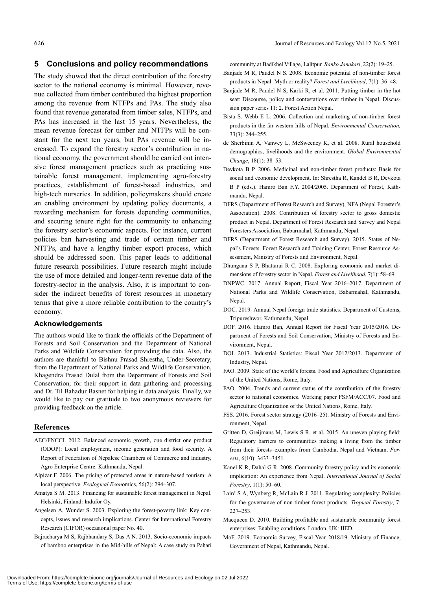#### **5 Conclusions and policy recommendations**

The study showed that the direct contribution of the forestry sector to the national economy is minimal. However, revenue collected from timber contributed the highest proportion among the revenue from NTFPs and PAs. The study also found that revenue generated from timber sales, NTFPs, and PAs has increased in the last 15 years. Nevertheless, the mean revenue forecast for timber and NTFPs will be constant for the next ten years, but PAs revenue will be increased. To expand the forestry sector's contribution in national economy, the government should be carried out intensive forest management practices such as practicing sustainable forest management, implementing agro-forestry practices, establishment of forest-based industries, and high-tech nurseries. In addition, policymakers should create an enabling environment by updating policy documents, a rewarding mechanism for forests depending communities, and securing tenure right for the community to enhancing the forestry sector's economic aspects. For instance, current policies ban harvesting and trade of certain timber and NTFPs, and have a lengthy timber export process, which should be addressed soon. This paper leads to additional future research possibilities. Future research might include the use of more detailed and longer-term revenue data of the forestry-sector in the analysis. Also, it is important to consider the indirect benefits of forest resources in monetary terms that give a more reliable contribution to the country's economy.

#### **Acknowledgements**

The authors would like to thank the officials of the Department of Forests and Soil Conservation and the Department of National Parks and Wildlife Conservation for providing the data. Also, the authors are thankful to Bishnu Prasad Shrestha, Under-Secretary, from the Department of National Parks and Wildlife Conservation, Khagendra Prasad Dulal from the Department of Forests and Soil Conservation, for their support in data gathering and processing and Dr. Til Bahadur Basnet for helping in data analysis. Finally, we would like to pay our gratitude to two anonymous reviewers for providing feedback on the article.

#### **References**

- AEC/FNCCI. 2012. Balanced economic growth, one district one product (ODOP): Local employment, income generation and food security. A Report of Federation of Nepalese Chambers of Commerce and Industry, Agro Enterprise Centre. Kathmandu, Nepal.
- Alpízar F. 2006. The pricing of protected areas in nature-based tourism: A local perspective. *Ecological Econ*omics, 56(2): 294–307.
- Amatya S M. 2013. Financing for sustainable forest management in Nepal. Helsinki, Finland: Indufor Oy.
- Angelsen A, Wunder S. 2003. Exploring the forest-poverty link: Key concepts, issues and research implications. Center for International Forestry Research (CIFOR) occasional paper No. 40.
- Bajracharya M S, Rajbhandary S, Das A N. 2013. Socio-economic impacts of bamboo enterprises in the Mid-hills of Nepal: A case study on Pahari

community at Badikhel Village, Lalitpur. *Banko Janakari*, 22(2): 19–25.

- Banjade M R, Paudel N S. 2008. Economic potential of non-timber forest products in Nepal: Myth or reality? *Forest and Livelihood*, 7(1): 36–48.
- Banjade M R, Paudel N S, Karki R, et al. 2011. Putting timber in the hot seat: Discourse, policy and contestations over timber in Nepal. Discussion paper series 11: 2. Forest Action Nepal.
- Bista S. Webb E L. 2006. Collection and marketing of non-timber forest products in the far western hills of Nepal. *Environmental Conservation,* 33(3): 244–255.
- de Sherbinin A, Vanwey L, McSweeney K, et al. 2008. Rural household demographics, livelihoods and the environment. *Global Environmental Change*, 18(1): 38–53.
- Devkota B P. 2006. Medicinal and non-timber forest products: Basis for social and economic development. In: Shrestha R, Kandel B R, Devkota B P (eds.). Hamro Ban F.Y. 2004/2005. Department of Forest, Kathmandu, Nepal.
- DFRS (Department of Forest Research and Survey), NFA (Nepal Forester's Association). 2008. Contribution of forestry sector to gross domestic product in Nepal. Department of Forest Research and Survey and Nepal Foresters Association, Babarmahal, Kathmandu, Nepal.
- DFRS (Department of Forest Research and Survey). 2015. States of Nepal's Forests. Forest Research and Training Center, Forest Resource Assessment, Ministry of Forests and Environment, Nepal.
- Dhungana S P, Bhattarai R C. 2008. Exploring economic and market dimensions of forestry sector in Nepal. *Forest and Livelihood*, 7(1): 58–69.
- DNPWC. 2017. Annual Report, Fiscal Year 2016–2017. Department of National Parks and Wildlife Conservation, Babarmahal, Kathmandu, Nepal.
- DOC. 2019. Annual Nepal foreign trade statistics. Department of Customs, Tripureshwor, Kathmandu, Nepal.
- DOF. 2016. Hamro Ban, Annual Report for Fiscal Year 2015/2016. Department of Forests and Soil Conservation, Ministry of Forests and Environment, Nepal.
- DOI. 2013. Industrial Statistics: Fiscal Year 2012/2013. Department of Industry, Nepal.
- FAO. 2009. State of the world's forests. Food and Agriculture Organization of the United Nations, Rome, Italy.
- FAO. 2004. Trends and current status of the contribution of the forestry sector to national economies. Working paper FSFM/ACC/07. Food and Agriculture Organization of the United Nations, Rome, Italy.
- FSS. 2016. Forest sector strategy (2016–25). Ministry of Forests and Environment, Nepal.
- Gritten D, Greijmans M, Lewis S R, et al. 2015. An uneven playing field: Regulatory barriers to communities making a living from the timber from their forests–examples from Cambodia, Nepal and Vietnam. *Forests*, 6(10): 3433–3451.
- Kanel K R, Dahal G R. 2008. Community forestry policy and its economic implication: An experience from Nepal. *International Journal of Social Forestry*, 1(1): 50–60.
- Laird S A, Wynberg R, McLain R J. 2011. Regulating complexity: Policies for the governance of non-timber forest products*. Tropical Forestry*, 7: 227–253.
- Macqueen D. 2010. Building profitable and sustainable community forest enterprises: Enabling conditions. London, UK: IIED.
- MoF. 2019. Economic Survey, Fiscal Year 2018/19. Ministry of Finance, Government of Nepal, Kathmandu, Nepal.